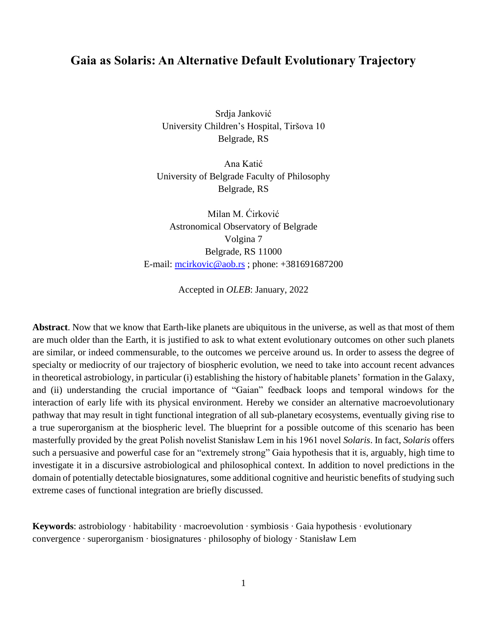# **Gaia as Solaris: An Alternative Default Evolutionary Trajectory**

Srdja Janković University Children's Hospital, Tiršova 10 Belgrade, RS

Ana Katić University of Belgrade Faculty of Philosophy Belgrade, RS

Milan M. Ćirković Astronomical Observatory of Belgrade Volgina 7 Belgrade, RS 11000 E-mail: [mcirkovic@aob.rs](mailto:mcirkovic@aob.rs) ; phone: +381691687200

Accepted in *OLEB*: January, 2022

**Abstract**. Now that we know that Earth-like planets are ubiquitous in the universe, as well as that most of them are much older than the Earth, it is justified to ask to what extent evolutionary outcomes on other such planets are similar, or indeed commensurable, to the outcomes we perceive around us. In order to assess the degree of specialty or mediocrity of our trajectory of biospheric evolution, we need to take into account recent advances in theoretical astrobiology, in particular (i) establishing the history of habitable planets' formation in the Galaxy, and (ii) understanding the crucial importance of "Gaian" feedback loops and temporal windows for the interaction of early life with its physical environment. Hereby we consider an alternative macroevolutionary pathway that may result in tight functional integration of all sub-planetary ecosystems, eventually giving rise to a true superorganism at the biospheric level. The blueprint for a possible outcome of this scenario has been masterfully provided by the great Polish novelist Stanisław Lem in his 1961 novel *Solaris*. In fact, *Solaris* offers such a persuasive and powerful case for an "extremely strong" Gaia hypothesis that it is, arguably, high time to investigate it in a discursive astrobiological and philosophical context. In addition to novel predictions in the domain of potentially detectable biosignatures, some additional cognitive and heuristic benefits of studying such extreme cases of functional integration are briefly discussed.

**Keywords**: astrobiology ∙ habitability ∙ macroevolution ∙ symbiosis ∙ Gaia hypothesis ∙ evolutionary convergence ∙ superorganism ∙ biosignatures ∙ philosophy of biology ∙ Stanisław Lem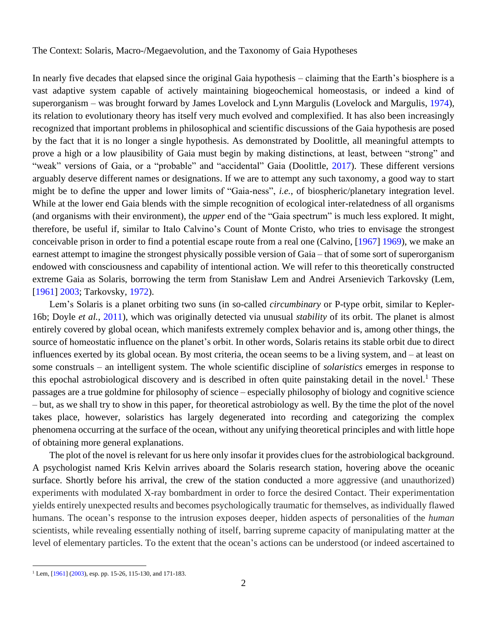The Context: Solaris, Macro-/Megaevolution, and the Taxonomy of Gaia Hypotheses

In nearly five decades that elapsed since the original Gaia hypothesis – claiming that the Earth's biosphere is a vast adaptive system capable of actively maintaining biogeochemical homeostasis, or indeed a kind of superorganism – was brought forward by James Lovelock and Lynn Margulis (Lovelock and Margulis, 1974), its relation to evolutionary theory has itself very much evolved and complexified. It has also been increasingly recognized that important problems in philosophical and scientific discussions of the Gaia hypothesis are posed by the fact that it is no longer a single hypothesis. As demonstrated by Doolittle, all meaningful attempts to prove a high or a low plausibility of Gaia must begin by making distinctions, at least, between "strong" and "weak" versions of Gaia, or a "probable" and "accidental" Gaia (Doolittle, 2017). These different versions arguably deserve different names or designations. If we are to attempt any such taxonomy, a good way to start might be to define the upper and lower limits of "Gaia-ness", *i.e.*, of biospheric/planetary integration level. While at the lower end Gaia blends with the simple recognition of ecological inter-relatedness of all organisms (and organisms with their environment), the *upper* end of the "Gaia spectrum" is much less explored. It might, therefore, be useful if, similar to Italo Calvino's Count of Monte Cristo, who tries to envisage the strongest conceivable prison in order to find a potential escape route from a real one (Calvino, [1967] 1969), we make an earnest attempt to imagine the strongest physically possible version of Gaia – that of some sort of superorganism endowed with consciousness and capability of intentional action. We will refer to this theoretically constructed extreme Gaia as Solaris, borrowing the term from Stanisław Lem and Andrei Arsenievich Tarkovsky (Lem, [1961] 2003; Tarkovsky, 1972).

Lem's Solaris is a planet orbiting two suns (in so-called *circumbinary* or P-type orbit, similar to Kepler-16b; Doyle *et al.*, 2011), which was originally detected via unusual *stability* of its orbit. The planet is almost entirely covered by global ocean, which manifests extremely complex behavior and is, among other things, the source of homeostatic influence on the planet's orbit. In other words, Solaris retains its stable orbit due to direct influences exerted by its global ocean. By most criteria, the ocean seems to be a living system, and – at least on some construals – an intelligent system. The whole scientific discipline of *solaristics* emerges in response to this epochal astrobiological discovery and is described in often quite painstaking detail in the novel.<sup>1</sup> These passages are a true goldmine for philosophy of science – especially philosophy of biology and cognitive science – but, as we shall try to show in this paper, for theoretical astrobiology as well. By the time the plot of the novel takes place, however, solaristics has largely degenerated into recording and categorizing the complex phenomena occurring at the surface of the ocean, without any unifying theoretical principles and with little hope of obtaining more general explanations.

The plot of the novel is relevant for us here only insofar it provides clues for the astrobiological background. A psychologist named Kris Kelvin arrives aboard the Solaris research station, hovering above the oceanic surface. Shortly before his arrival, the crew of the station conducted a more aggressive (and unauthorized) experiments with modulated X-ray bombardment in order to force the desired Contact. Their experimentation yields entirely unexpected results and becomes psychologically traumatic for themselves, as individually flawed humans. The ocean's response to the intrusion exposes deeper, hidden aspects of personalities of the *human* scientists, while revealing essentially nothing of itself, barring supreme capacity of manipulating matter at the level of elementary particles. To the extent that the ocean's actions can be understood (or indeed ascertained to

 $1$  Lem, [1961] (2003), esp. pp. 15-26, 115-130, and 171-183.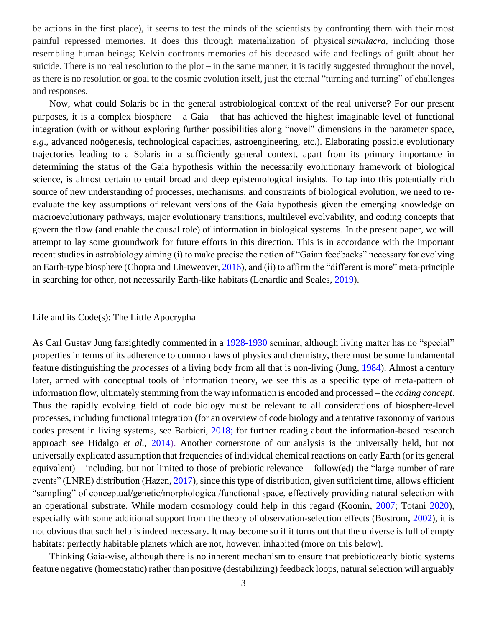be actions in the first place), it seems to test the minds of the scientists by confronting them with their most painful repressed memories. It does this through materialization of physical *[simulacra](https://en.wikipedia.org/wiki/Simulacra)*, including those resembling human beings; Kelvin confronts memories of his deceased wife and feelings of guilt about her suicide. There is no real resolution to the plot – in the same manner, it is tacitly suggested throughout the novel, as there is no resolution or goal to the cosmic evolution itself, just the eternal "turning and turning" of challenges and responses.

Now, what could Solaris be in the general astrobiological context of the real universe? For our present purposes, it is a complex biosphere – a Gaia – that has achieved the highest imaginable level of functional integration (with or without exploring further possibilities along "novel" dimensions in the parameter space, *e.g*., advanced noögenesis, technological capacities, astroengineering, etc.). Elaborating possible evolutionary trajectories leading to a Solaris in a sufficiently general context, apart from its primary importance in determining the status of the Gaia hypothesis within the necessarily evolutionary framework of biological science, is almost certain to entail broad and deep epistemological insights. To tap into this potentially rich source of new understanding of processes, mechanisms, and constraints of biological evolution, we need to reevaluate the key assumptions of relevant versions of the Gaia hypothesis given the emerging knowledge on macroevolutionary pathways, major evolutionary transitions, multilevel evolvability, and coding concepts that govern the flow (and enable the causal role) of information in biological systems. In the present paper, we will attempt to lay some groundwork for future efforts in this direction. This is in accordance with the important recent studies in astrobiology aiming (i) to make precise the notion of "Gaian feedbacks" necessary for evolving an Earth-type biosphere (Chopra and Lineweaver, 2016), and (ii) to affirm the "different is more" meta-principle in searching for other, not necessarily Earth-like habitats (Lenardic and Seales, 2019).

### Life and its Code(s): The Little Apocrypha

As Carl Gustav Jung farsightedly commented in a 1928-1930 seminar, although living matter has no "special" properties in terms of its adherence to common laws of physics and chemistry, there must be some fundamental feature distinguishing the *processes* of a living body from all that is non-living (Jung, 1984). Almost a century later, armed with conceptual tools of information theory, we see this as a specific type of meta-pattern of information flow, ultimately stemming from the way information is encoded and processed – the *coding concept*. Thus the rapidly evolving field of code biology must be relevant to all considerations of biosphere-level processes, including functional integration (for an overview of code biology and a tentative taxonomy of various codes present in living systems, see Barbieri, 2018; for further reading about the information-based research approach see Hidalgo *et al.*, 2014). Another cornerstone of our analysis is the universally held, but not universally explicated assumption that frequencies of individual chemical reactions on early Earth (or its general equivalent) – including, but not limited to those of prebiotic relevance – follow(ed) the "large number of rare events" (LNRE) distribution (Hazen, 2017), since this type of distribution, given sufficient time, allows efficient "sampling" of conceptual/genetic/morphological/functional space, effectively providing natural selection with an operational substrate. While modern cosmology could help in this regard (Koonin, 2007; Totani 2020), especially with some additional support from the theory of observation-selection effects (Bostrom, 2002), it is not obvious that such help is indeed necessary. It may become so if it turns out that the universe is full of empty habitats: perfectly habitable planets which are not, however, inhabited (more on this below).

Thinking Gaia-wise, although there is no inherent mechanism to ensure that prebiotic/early biotic systems feature negative (homeostatic) rather than positive (destabilizing) feedback loops, natural selection will arguably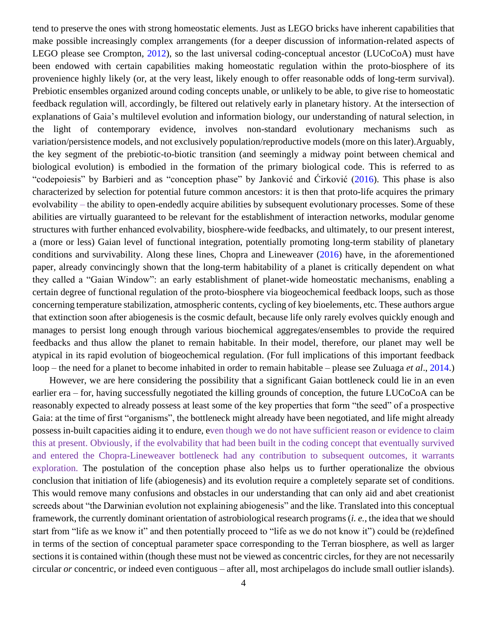tend to preserve the ones with strong homeostatic elements. Just as LEGO bricks have inherent capabilities that make possible increasingly complex arrangements (for a deeper discussion of information-related aspects of LEGO please see Crompton, 2012), so the last universal coding-conceptual ancestor (LUCoCoA) must have been endowed with certain capabilities making homeostatic regulation within the proto-biosphere of its provenience highly likely (or, at the very least, likely enough to offer reasonable odds of long-term survival). Prebiotic ensembles organized around coding concepts unable, or unlikely to be able, to give rise to homeostatic feedback regulation will, accordingly, be filtered out relatively early in planetary history. At the intersection of explanations of Gaia's multilevel evolution and information biology, our understanding of natural selection, in the light of contemporary evidence, involves non-standard evolutionary mechanisms such as variation/persistence models, and not exclusively population/reproductive models (more on this later).Arguably, the key segment of the prebiotic-to-biotic transition (and seemingly a midway point between chemical and biological evolution) is embodied in the formation of the primary biological code. This is referred to as "codepoiesis" by Barbieri and as "conception phase" by Janković and Ćirković (2016). This phase is also characterized by selection for potential future common ancestors: it is then that proto-life acquires the primary evolvability – the ability to open-endedly acquire abilities by subsequent evolutionary processes. Some of these abilities are virtually guaranteed to be relevant for the establishment of interaction networks, modular genome structures with further enhanced evolvability, biosphere-wide feedbacks, and ultimately, to our present interest, a (more or less) Gaian level of functional integration, potentially promoting long-term stability of planetary conditions and survivability. Along these lines, Chopra and Lineweaver (2016) have, in the aforementioned paper, already convincingly shown that the long-term habitability of a planet is critically dependent on what they called a "Gaian Window": an early establishment of planet-wide homeostatic mechanisms, enabling a certain degree of functional regulation of the proto-biosphere via biogeochemical feedback loops, such as those concerning temperature stabilization, atmospheric contents, cycling of key bioelements, etc. These authors argue that extinction soon after abiogenesis is the cosmic default, because life only rarely evolves quickly enough and manages to persist long enough through various biochemical aggregates/ensembles to provide the required feedbacks and thus allow the planet to remain habitable. In their model, therefore, our planet may well be atypical in its rapid evolution of biogeochemical regulation. (For full implications of this important feedback loop – the need for a planet to become inhabited in order to remain habitable – please see Zuluaga *et al*., 2014.)

However, we are here considering the possibility that a significant Gaian bottleneck could lie in an even earlier era – for, having successfully negotiated the killing grounds of conception, the future LUCoCoA can be reasonably expected to already possess at least some of the key properties that form "the seed" of a prospective Gaia: at the time of first "organisms", the bottleneck might already have been negotiated, and life might already possess in-built capacities aiding it to endure, even though we do not have sufficient reason or evidence to claim this at present. Obviously, if the evolvability that had been built in the coding concept that eventually survived and entered the Chopra-Lineweaver bottleneck had any contribution to subsequent outcomes, it warrants exploration. The postulation of the conception phase also helps us to further operationalize the obvious conclusion that initiation of life (abiogenesis) and its evolution require a completely separate set of conditions. This would remove many confusions and obstacles in our understanding that can only aid and abet creationist screeds about "the Darwinian evolution not explaining abiogenesis" and the like. Translated into this conceptual framework, the currently dominant orientation of astrobiological research programs (*i. e.*, the idea that we should start from "life as we know it" and then potentially proceed to "life as we do not know it") could be (re)defined in terms of the section of conceptual parameter space corresponding to the Terran biosphere, as well as larger sections it is contained within (though these must not be viewed as concentric circles, for they are not necessarily circular *or* concentric, or indeed even contiguous – after all, most archipelagos do include small outlier islands).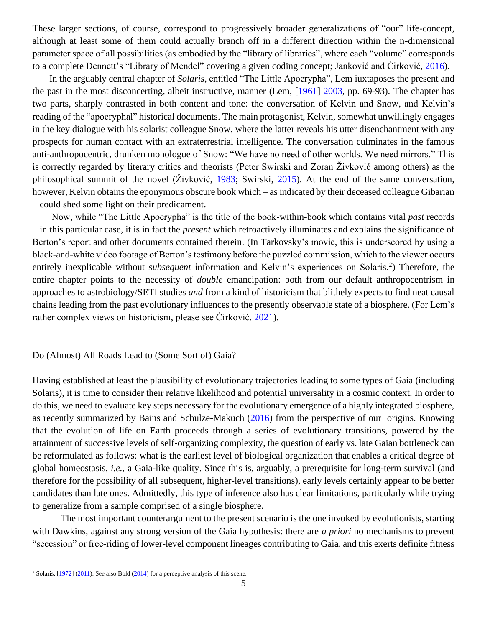These larger sections, of course, correspond to progressively broader generalizations of "our" life-concept, although at least some of them could actually branch off in a different direction within the n-dimensional parameter space of all possibilities (as embodied by the "library of libraries", where each "volume" corresponds to a complete Dennett's "Library of Mendel" covering a given coding concept; Janković and Ćirković, 2016).

In the arguably central chapter of *Solaris*, entitled "The Little Apocrypha", Lem iuxtaposes the present and the past in the most disconcerting, albeit instructive, manner (Lem, [1961] 2003, pp. 69-93). The chapter has two parts, sharply contrasted in both content and tone: the conversation of Kelvin and Snow, and Kelvin's reading of the "apocryphal" historical documents. The main protagonist, Kelvin, somewhat unwillingly engages in the key dialogue with his solarist colleague Snow, where the latter reveals his utter disenchantment with any prospects for human contact with an extraterrestrial intelligence. The conversation culminates in the famous anti-anthropocentric, drunken monologue of Snow: "We have no need of other worlds. We need mirrors." This is correctly regarded by literary critics and theorists (Peter Swirski and Zoran Živković among others) as the philosophical summit of the novel (Živković, 1983; Swirski, 2015). At the end of the same conversation, however, Kelvin obtains the eponymous obscure book which – as indicated by their deceased colleague Gibarian – could shed some light on their predicament.

Now, while "The Little Apocrypha" is the title of the book-within-book which contains vital *past* records – in this particular case, it is in fact the *present* which retroactively illuminates and explains the significance of Berton's report and other documents contained therein. (In Tarkovsky's movie, this is underscored by using a black-and-white video footage of Berton's testimony before the puzzled commission, which to the viewer occurs entirely inexplicable without *subsequent* information and Kelvin's experiences on Solaris.<sup>2</sup>) Therefore, the entire chapter points to the necessity of *double* emancipation: both from our default anthropocentrism in approaches to astrobiology/SETI studies *and* from a kind of historicism that blithely expects to find neat causal chains leading from the past evolutionary influences to the presently observable state of a biosphere. (For Lem's rather complex views on historicism, please see Ćirković, 2021).

#### Do (Almost) All Roads Lead to (Some Sort of) Gaia?

Having established at least the plausibility of evolutionary trajectories leading to some types of Gaia (including Solaris), it is time to consider their relative likelihood and potential universality in a cosmic context. In order to do this, we need to evaluate key steps necessary for the evolutionary emergence of a highly integrated biosphere, as recently summarized by Bains and Schulze-Makuch (2016) from the perspective of our origins. Knowing that the evolution of life on Earth proceeds through a series of evolutionary transitions, powered by the attainment of successive levels of self-organizing complexity, the question of early vs. late Gaian bottleneck can be reformulated as follows: what is the earliest level of biological organization that enables a critical degree of global homeostasis, *i.e.*, a Gaia-like quality. Since this is, arguably, a prerequisite for long-term survival (and therefore for the possibility of all subsequent, higher-level transitions), early levels certainly appear to be better candidates than late ones. Admittedly, this type of inference also has clear limitations, particularly while trying to generalize from a sample comprised of a single biosphere.

The most important counterargument to the present scenario is the one invoked by evolutionists, starting with Dawkins, against any strong version of the Gaia hypothesis: there are *a priori* no mechanisms to prevent "secession" or free-riding of lower-level component lineages contributing to Gaia, and this exerts definite fitness

<sup>&</sup>lt;sup>2</sup> Solaris,  $[1972]$  (2011). See also Bold (2014) for a perceptive analysis of this scene.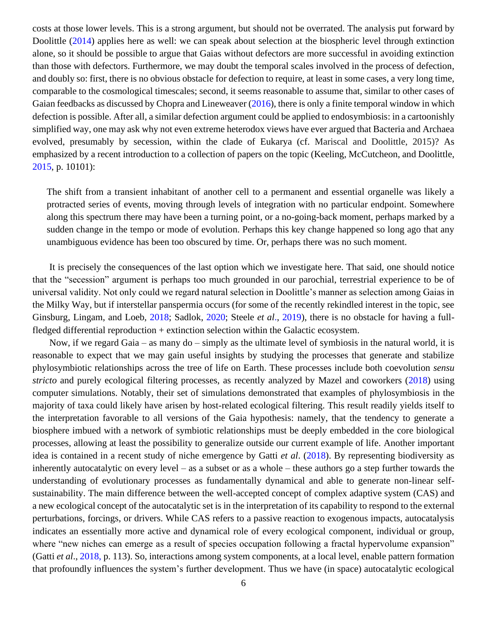costs at those lower levels. This is a strong argument, but should not be overrated. The analysis put forward by Doolittle (2014) applies here as well: we can speak about selection at the biospheric level through extinction alone, so it should be possible to argue that Gaias without defectors are more successful in avoiding extinction than those with defectors. Furthermore, we may doubt the temporal scales involved in the process of defection, and doubly so: first, there is no obvious obstacle for defection to require, at least in some cases, a very long time, comparable to the cosmological timescales; second, it seems reasonable to assume that, similar to other cases of Gaian feedbacks as discussed by Chopra and Lineweaver (2016), there is only a finite temporal window in which defection is possible. After all, a similar defection argument could be applied to endosymbiosis: in a cartoonishly simplified way, one may ask why not even extreme heterodox views have ever argued that Bacteria and Archaea evolved, presumably by secession, within the clade of Eukarya (cf. Mariscal and Doolittle, 2015)? As emphasized by a recent introduction to a collection of papers on the topic (Keeling, McCutcheon, and Doolittle, 2015, p. 10101):

The shift from a transient inhabitant of another cell to a permanent and essential organelle was likely a protracted series of events, moving through levels of integration with no particular endpoint. Somewhere along this spectrum there may have been a turning point, or a no-going-back moment, perhaps marked by a sudden change in the tempo or mode of evolution. Perhaps this key change happened so long ago that any unambiguous evidence has been too obscured by time. Or, perhaps there was no such moment.

It is precisely the consequences of the last option which we investigate here. That said, one should notice that the "secession" argument is perhaps too much grounded in our parochial, terrestrial experience to be of universal validity. Not only could we regard natural selection in Doolittle's manner as selection among Gaias in the Milky Way, but if interstellar panspermia occurs (for some of the recently rekindled interest in the topic, see Ginsburg, Lingam, and Loeb, 2018; Sadlok, 2020; Steele *et al*., 2019), there is no obstacle for having a fullfledged differential reproduction + extinction selection within the Galactic ecosystem.

Now, if we regard Gaia – as many do – simply as the ultimate level of symbiosis in the natural world, it is reasonable to expect that we may gain useful insights by studying the processes that generate and stabilize phylosymbiotic relationships across the tree of life on Earth. These processes include both coevolution *sensu stricto* and purely ecological filtering processes, as recently analyzed by Mazel and coworkers (2018) using computer simulations. Notably, their set of simulations demonstrated that examples of phylosymbiosis in the majority of taxa could likely have arisen by host-related ecological filtering. This result readily yields itself to the interpretation favorable to all versions of the Gaia hypothesis: namely, that the tendency to generate a biosphere imbued with a network of symbiotic relationships must be deeply embedded in the core biological processes, allowing at least the possibility to generalize outside our current example of life. Another important idea is contained in a recent study of niche emergence by Gatti *et al*. (2018). By representing biodiversity as inherently autocatalytic on every level – as a subset or as a whole – these authors go a step further towards the understanding of evolutionary processes as fundamentally dynamical and able to generate non-linear selfsustainability. The main difference between the well-accepted concept of complex adaptive system (CAS) and a new ecological concept of the autocatalytic set is in the interpretation of its capability to respond to the external perturbations, forcings, or drivers. While CAS refers to a passive reaction to exogenous impacts, autocatalysis indicates an essentially more active and dynamical role of every ecological component, individual or group, where "new niches can emerge as a result of species occupation following a fractal hypervolume expansion" (Gatti *et al*., 2018, p. 113). So, interactions among system components, at a local level, enable pattern formation that profoundly influences the system's further development. Thus we have (in space) autocatalytic ecological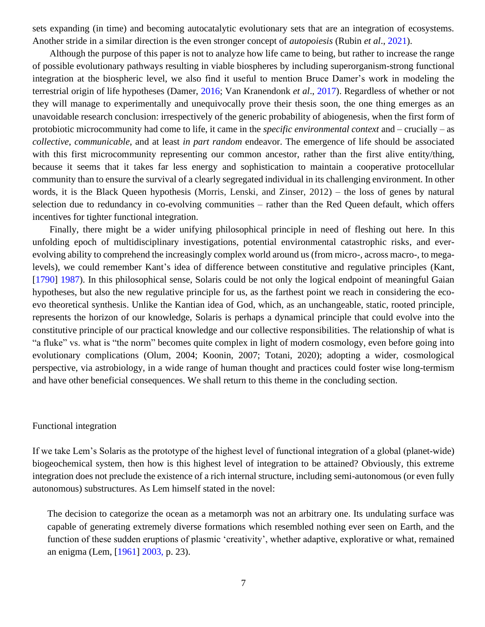sets expanding (in time) and becoming autocatalytic evolutionary sets that are an integration of ecosystems. Another stride in a similar direction is the even stronger concept of *autopoiesis* (Rubin *et al*., 2021).

Although the purpose of this paper is not to analyze how life came to being, but rather to increase the range of possible evolutionary pathways resulting in viable biospheres by including superorganism-strong functional integration at the biospheric level, we also find it useful to mention Bruce Damer's work in modeling the terrestrial origin of life hypotheses (Damer, 2016; Van Kranendonk *et al*., 2017). Regardless of whether or not they will manage to experimentally and unequivocally prove their thesis soon, the one thing emerges as an unavoidable research conclusion: irrespectively of the generic probability of abiogenesis, when the first form of protobiotic microcommunity had come to life, it came in the *specific environmental context* and – crucially – as *collective*, *communicable*, and at least *in part random* endeavor. The emergence of life should be associated with this first microcommunity representing our common ancestor, rather than the first alive entity/thing, because it seems that it takes far less energy and sophistication to maintain a cooperative protocellular community than to ensure the survival of a clearly segregated individual in its challenging environment. In other words, it is the Black Queen hypothesis (Morris, Lenski, and Zinser, 2012) – the loss of genes by natural selection due to redundancy in co-evolving communities – rather than the Red Queen default, which offers incentives for tighter functional integration.

Finally, there might be a wider unifying philosophical principle in need of fleshing out here. In this unfolding epoch of multidisciplinary investigations, potential environmental catastrophic risks, and everevolving ability to comprehend the increasingly complex world around us (from micro-, across macro-, to megalevels), we could remember Kant's idea of difference between constitutive and regulative principles (Kant, [1790] 1987). In this philosophical sense, Solaris could be not only the logical endpoint of meaningful Gaian hypotheses, but also the new regulative principle for us, as the farthest point we reach in considering the ecoevo theoretical synthesis. Unlike the Kantian idea of God, which, as an unchangeable, static, rooted principle, represents the horizon of our knowledge, Solaris is perhaps a dynamical principle that could evolve into the constitutive principle of our practical knowledge and our collective responsibilities. The relationship of what is "a fluke" vs. what is "the norm" becomes quite complex in light of modern cosmology, even before going into evolutionary complications (Olum, 2004; Koonin, 2007; Totani, 2020); adopting a wider, cosmological perspective, via astrobiology, in a wide range of human thought and practices could foster wise long-termism and have other beneficial consequences. We shall return to this theme in the concluding section.

#### Functional integration

If we take Lem's Solaris as the prototype of the highest level of functional integration of a global (planet-wide) biogeochemical system, then how is this highest level of integration to be attained? Obviously, this extreme integration does not preclude the existence of a rich internal structure, including semi-autonomous (or even fully autonomous) substructures. As Lem himself stated in the novel:

The decision to categorize the ocean as a metamorph was not an arbitrary one. Its undulating surface was capable of generating extremely diverse formations which resembled nothing ever seen on Earth, and the function of these sudden eruptions of plasmic 'creativity', whether adaptive, explorative or what, remained an enigma (Lem, [1961] 2003, p. 23).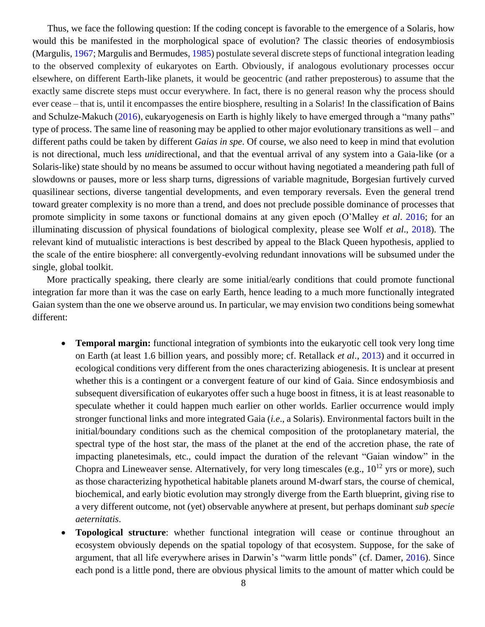Thus, we face the following question: If the coding concept is favorable to the emergence of a Solaris, how would this be manifested in the morphological space of evolution? The classic theories of endosymbiosis (Margulis, 1967; Margulis and Bermudes, 1985) postulate several discrete steps of functional integration leading to the observed complexity of eukaryotes on Earth. Obviously, if analogous evolutionary processes occur elsewhere, on different Earth-like planets, it would be geocentric (and rather preposterous) to assume that the exactly same discrete steps must occur everywhere. In fact, there is no general reason why the process should ever cease – that is, until it encompasses the entire biosphere, resulting in a Solaris! In the classification of Bains and Schulze-Makuch (2016), eukaryogenesis on Earth is highly likely to have emerged through a "many paths" type of process. The same line of reasoning may be applied to other major evolutionary transitions as well – and different paths could be taken by different *Gaias in spe*. Of course, we also need to keep in mind that evolution is not directional, much less *uni*directional, and that the eventual arrival of any system into a Gaia-like (or a Solaris-like) state should by no means be assumed to occur without having negotiated a meandering path full of slowdowns or pauses, more or less sharp turns, digressions of variable magnitude, Borgesian furtively curved quasilinear sections, diverse tangential developments, and even temporary reversals. Even the general trend toward greater complexity is no more than a trend, and does not preclude possible dominance of processes that promote simplicity in some taxons or functional domains at any given epoch (O'Malley *et al*. 2016; for an illuminating discussion of physical foundations of biological complexity, please see Wolf *et al*., 2018). The relevant kind of mutualistic interactions is best described by appeal to the Black Queen hypothesis, applied to the scale of the entire biosphere: all convergently-evolving redundant innovations will be subsumed under the single, global toolkit.

More practically speaking, there clearly are some initial/early conditions that could promote functional integration far more than it was the case on early Earth, hence leading to a much more functionally integrated Gaian system than the one we observe around us. In particular, we may envision two conditions being somewhat different:

- **Temporal margin:** functional integration of symbionts into the eukaryotic cell took very long time on Earth (at least 1.6 billion years, and possibly more; cf. Retallack *et al*., 2013) and it occurred in ecological conditions very different from the ones characterizing abiogenesis. It is unclear at present whether this is a contingent or a convergent feature of our kind of Gaia. Since endosymbiosis and subsequent diversification of eukaryotes offer such a huge boost in fitness, it is at least reasonable to speculate whether it could happen much earlier on other worlds. Earlier occurrence would imply stronger functional links and more integrated Gaia (*i.e*., a Solaris). Environmental factors built in the initial/boundary conditions such as the chemical composition of the protoplanetary material, the spectral type of the host star, the mass of the planet at the end of the accretion phase, the rate of impacting planetesimals, etc., could impact the duration of the relevant "Gaian window" in the Chopra and Lineweaver sense. Alternatively, for very long timescales (e.g.,  $10^{12}$  yrs or more), such as those characterizing hypothetical habitable planets around M-dwarf stars, the course of chemical, biochemical, and early biotic evolution may strongly diverge from the Earth blueprint, giving rise to a very different outcome, not (yet) observable anywhere at present, but perhaps dominant *sub specie aeternitatis*.
- **Topological structure**: whether functional integration will cease or continue throughout an ecosystem obviously depends on the spatial topology of that ecosystem. Suppose, for the sake of argument, that all life everywhere arises in Darwin's "warm little ponds" (cf. Damer, 2016). Since each pond is a little pond, there are obvious physical limits to the amount of matter which could be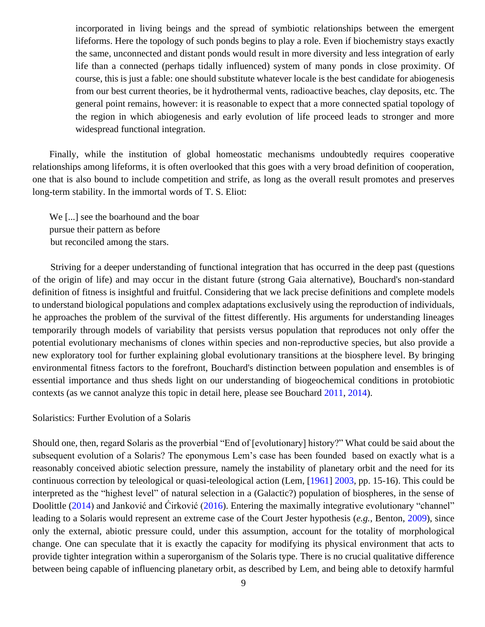incorporated in living beings and the spread of symbiotic relationships between the emergent lifeforms. Here the topology of such ponds begins to play a role. Even if biochemistry stays exactly the same, unconnected and distant ponds would result in more diversity and less integration of early life than a connected (perhaps tidally influenced) system of many ponds in close proximity. Of course, this is just a fable: one should substitute whatever locale is the best candidate for abiogenesis from our best current theories, be it hydrothermal vents, radioactive beaches, clay deposits, etc. The general point remains, however: it is reasonable to expect that a more connected spatial topology of the region in which abiogenesis and early evolution of life proceed leads to stronger and more widespread functional integration.

Finally, while the institution of global homeostatic mechanisms undoubtedly requires cooperative relationships among lifeforms, it is often overlooked that this goes with a very broad definition of cooperation, one that is also bound to include competition and strife, as long as the overall result promotes and preserves long-term stability. In the immortal words of T. S. Eliot:

We [...] see the boarhound and the boar pursue their pattern as before but reconciled among the stars.

Striving for a deeper understanding of functional integration that has occurred in the deep past (questions of the origin of life) and may occur in the distant future (strong Gaia alternative), Bouchard's non-standard definition of fitness is insightful and fruitful. Considering that we lack precise definitions and complete models to understand biological populations and complex adaptations exclusively using the reproduction of individuals, he approaches the problem of the survival of the fittest differently. His arguments for understanding lineages temporarily through models of variability that persists versus population that reproduces not only offer the potential evolutionary mechanisms of clones within species and non-reproductive species, but also provide a new exploratory tool for further explaining global evolutionary transitions at the biosphere level. By bringing environmental fitness factors to the forefront, Bouchard's distinction between population and ensembles is of essential importance and thus sheds light on our understanding of biogeochemical conditions in protobiotic contexts (as we cannot analyze this topic in detail here, please see Bouchard 2011, 2014).

Solaristics: Further Evolution of a Solaris

Should one, then, regard Solaris as the proverbial "End of [evolutionary] history?" What could be said about the subsequent evolution of a Solaris? The eponymous Lem's case has been founded based on exactly what is a reasonably conceived abiotic selection pressure, namely the instability of planetary orbit and the need for its continuous correction by teleological or quasi-teleological action (Lem, [1961] 2003, pp. 15-16). This could be interpreted as the "highest level" of natural selection in a (Galactic?) population of biospheres, in the sense of Doolittle (2014) and Janković and Ćirković (2016). Entering the maximally integrative evolutionary "channel" leading to a Solaris would represent an extreme case of the Court Jester hypothesis (*e.g.*, Benton, 2009), since only the external, abiotic pressure could, under this assumption, account for the totality of morphological change. One can speculate that it is exactly the capacity for modifying its physical environment that acts to provide tighter integration within a superorganism of the Solaris type. There is no crucial qualitative difference between being capable of influencing planetary orbit, as described by Lem, and being able to detoxify harmful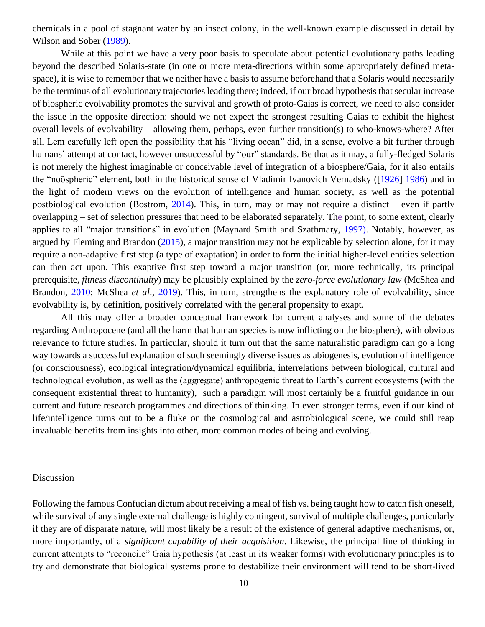chemicals in a pool of stagnant water by an insect colony, in the well-known example discussed in detail by Wilson and Sober (1989).

While at this point we have a very poor basis to speculate about potential evolutionary paths leading beyond the described Solaris-state (in one or more meta-directions within some appropriately defined metaspace), it is wise to remember that we neither have a basis to assume beforehand that a Solaris would necessarily be the terminus of all evolutionary trajectories leading there; indeed, if our broad hypothesis that secular increase of biospheric evolvability promotes the survival and growth of proto-Gaias is correct, we need to also consider the issue in the opposite direction: should we not expect the strongest resulting Gaias to exhibit the highest overall levels of evolvability – allowing them, perhaps, even further transition(s) to who-knows-where? After all, Lem carefully left open the possibility that his "living ocean" did, in a sense, evolve a bit further through humans' attempt at contact, however unsuccessful by "our" standards. Be that as it may, a fully-fledged Solaris is not merely the highest imaginable or conceivable level of integration of a biosphere/Gaia, for it also entails the "noöspheric" element, both in the historical sense of Vladimir Ivanovich Vernadsky ([1926] 1986) and in the light of modern views on the evolution of intelligence and human society, as well as the potential postbiological evolution (Bostrom, 2014). This, in turn, may or may not require a distinct – even if partly overlapping – set of selection pressures that need to be elaborated separately. The point, to some extent, clearly applies to all "major transitions" in evolution (Maynard Smith and Szathmary, 1997). Notably, however, as argued by Fleming and Brandon (2015), a major transition may not be explicable by selection alone, for it may require a non-adaptive first step (a type of exaptation) in order to form the initial higher-level entities selection can then act upon. This exaptive first step toward a major transition (or, more technically, its principal prerequisite, *fitness discontinuity*) may be plausibly explained by the *zero-force evolutionary law* (McShea and Brandon, 2010; McShea *et al*., 2019). This, in turn, strengthens the explanatory role of evolvability, since evolvability is, by definition, positively correlated with the general propensity to exapt.

All this may offer a broader conceptual framework for current analyses and some of the debates regarding Anthropocene (and all the harm that human species is now inflicting on the biosphere), with obvious relevance to future studies. In particular, should it turn out that the same naturalistic paradigm can go a long way towards a successful explanation of such seemingly diverse issues as abiogenesis, evolution of intelligence (or consciousness), ecological integration/dynamical equilibria, interrelations between biological, cultural and technological evolution, as well as the (aggregate) anthropogenic threat to Earth's current ecosystems (with the consequent existential threat to humanity), such a paradigm will most certainly be a fruitful guidance in our current and future research programmes and directions of thinking. In even stronger terms, even if our kind of life/intelligence turns out to be a fluke on the cosmological and astrobiological scene, we could still reap invaluable benefits from insights into other, more common modes of being and evolving.

#### Discussion

Following the famous Confucian dictum about receiving a meal of fish vs. being taught how to catch fish oneself, while survival of any single external challenge is highly contingent, survival of multiple challenges, particularly if they are of disparate nature, will most likely be a result of the existence of general adaptive mechanisms, or, more importantly, of a *significant capability of their acquisition*. Likewise, the principal line of thinking in current attempts to "reconcile" Gaia hypothesis (at least in its weaker forms) with evolutionary principles is to try and demonstrate that biological systems prone to destabilize their environment will tend to be short-lived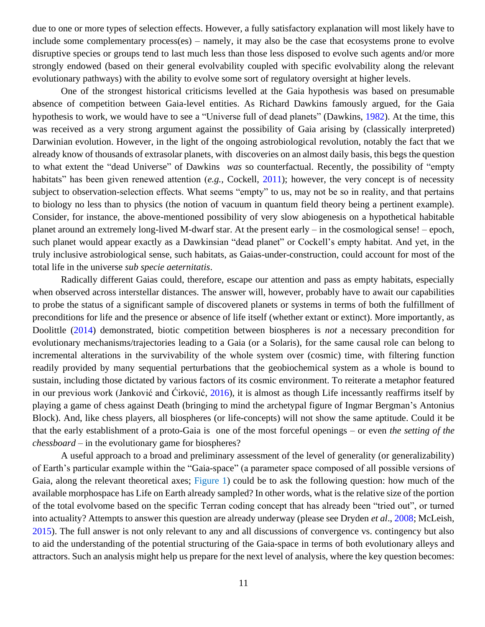due to one or more types of selection effects. However, a fully satisfactory explanation will most likely have to include some complementary process(es) – namely, it may also be the case that ecosystems prone to evolve disruptive species or groups tend to last much less than those less disposed to evolve such agents and/or more strongly endowed (based on their general evolvability coupled with specific evolvability along the relevant evolutionary pathways) with the ability to evolve some sort of regulatory oversight at higher levels.

One of the strongest historical criticisms levelled at the Gaia hypothesis was based on presumable absence of competition between Gaia-level entities. As Richard Dawkins famously argued, for the Gaia hypothesis to work, we would have to see a "Universe full of dead planets" (Dawkins, 1982). At the time, this was received as a very strong argument against the possibility of Gaia arising by (classically interpreted) Darwinian evolution. However, in the light of the ongoing astrobiological revolution, notably the fact that we already know of thousands of extrasolar planets, with discoveries on an almost daily basis, this begs the question to what extent the "dead Universe" of Dawkins *was* so counterfactual. Recently, the possibility of "empty habitats" has been given renewed attention (*e.g.*, Cockell, 2011); however, the very concept is of necessity subject to observation-selection effects. What seems "empty" to us, may not be so in reality, and that pertains to biology no less than to physics (the notion of vacuum in quantum field theory being a pertinent example). Consider, for instance, the above-mentioned possibility of very slow abiogenesis on a hypothetical habitable planet around an extremely long-lived M-dwarf star. At the present early – in the cosmological sense! – epoch, such planet would appear exactly as a Dawkinsian "dead planet" or Cockell's empty habitat. And yet, in the truly inclusive astrobiological sense, such habitats, as Gaias-under-construction, could account for most of the total life in the universe *sub specie aeternitatis*.

Radically different Gaias could, therefore, escape our attention and pass as empty habitats, especially when observed across interstellar distances. The answer will, however, probably have to await our capabilities to probe the status of a significant sample of discovered planets or systems in terms of both the fulfillment of preconditions for life and the presence or absence of life itself (whether extant or extinct). More importantly, as Doolittle (2014) demonstrated, biotic competition between biospheres is *not* a necessary precondition for evolutionary mechanisms/trajectories leading to a Gaia (or a Solaris), for the same causal role can belong to incremental alterations in the survivability of the whole system over (cosmic) time, with filtering function readily provided by many sequential perturbations that the geobiochemical system as a whole is bound to sustain, including those dictated by various factors of its cosmic environment. To reiterate a metaphor featured in our previous work (Janković and Ćirković, 2016), it is almost as though Life incessantly reaffirms itself by playing a game of chess against Death (bringing to mind the archetypal figure of Ingmar Bergman's Antonius Block). And, like chess players, all biospheres (or life-concepts) will not show the same aptitude. Could it be that the early establishment of a proto-Gaia is one of the most forceful openings – or even *the setting of the chessboard* – in the evolutionary game for biospheres?

A useful approach to a broad and preliminary assessment of the level of generality (or generalizability) of Earth's particular example within the "Gaia-space" (a parameter space composed of all possible versions of Gaia, along the relevant theoretical axes; Figure 1) could be to ask the following question: how much of the available morphospace has Life on Earth already sampled? In other words, what is the relative size of the portion of the total evolvome based on the specific Terran coding concept that has already been "tried out", or turned into actuality? Attempts to answer this question are already underway (please see Dryden *et al*., 2008; McLeish, 2015). The full answer is not only relevant to any and all discussions of convergence vs. contingency but also to aid the understanding of the potential structuring of the Gaia-space in terms of both evolutionary alleys and attractors. Such an analysis might help us prepare for the next level of analysis, where the key question becomes: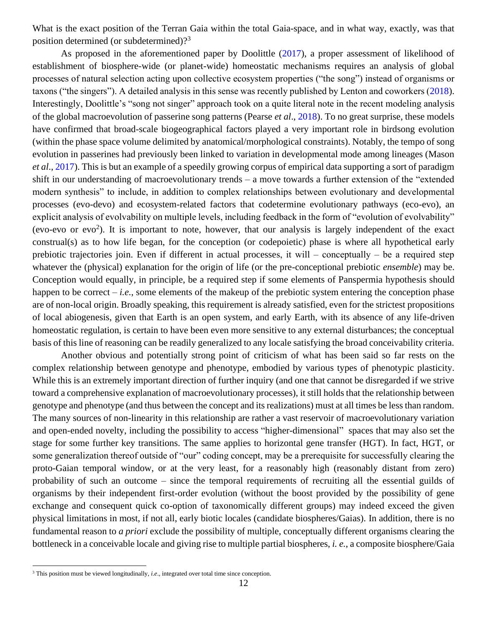What is the exact position of the Terran Gaia within the total Gaia-space, and in what way, exactly, was that position determined (or subdetermined)?<sup>3</sup>

As proposed in the aforementioned paper by Doolittle (2017), a proper assessment of likelihood of establishment of biosphere-wide (or planet-wide) homeostatic mechanisms requires an analysis of global processes of natural selection acting upon collective ecosystem properties ("the song") instead of organisms or taxons ("the singers"). A detailed analysis in this sense was recently published by Lenton and coworkers (2018). Interestingly, Doolittle's "song not singer" approach took on a quite literal note in the recent modeling analysis of the global macroevolution of passerine song patterns (Pearse *et al*., 2018). To no great surprise, these models have confirmed that broad-scale biogeographical factors played a very important role in birdsong evolution (within the phase space volume delimited by anatomical/morphological constraints). Notably, the tempo of song evolution in passerines had previously been linked to variation in developmental mode among lineages (Mason *et al*., 2017). This is but an example of a speedily growing corpus of empirical data supporting a sort of paradigm shift in our understanding of macroevolutionary trends – a move towards a further extension of the "extended modern synthesis" to include, in addition to complex relationships between evolutionary and developmental processes (evo-devo) and ecosystem-related factors that codetermine evolutionary pathways (eco-evo), an explicit analysis of evolvability on multiple levels, including feedback in the form of "evolution of evolvability" (evo-evo or evo<sup>2</sup>). It is important to note, however, that our analysis is largely independent of the exact construal(s) as to how life began, for the conception (or codepoietic) phase is where all hypothetical early prebiotic trajectories join. Even if different in actual processes, it will  $-$  conceptually  $-$  be a required step whatever the (physical) explanation for the origin of life (or the pre-conceptional prebiotic *ensemble*) may be. Conception would equally, in principle, be a required step if some elements of Panspermia hypothesis should happen to be correct – *i.e.*, some elements of the makeup of the prebiotic system entering the conception phase are of non-local origin. Broadly speaking, this requirement is already satisfied, even for the strictest propositions of local abiogenesis, given that Earth is an open system, and early Earth, with its absence of any life-driven homeostatic regulation, is certain to have been even more sensitive to any external disturbances; the conceptual basis of this line of reasoning can be readily generalized to any locale satisfying the broad conceivability criteria.

Another obvious and potentially strong point of criticism of what has been said so far rests on the complex relationship between genotype and phenotype, embodied by various types of phenotypic plasticity. While this is an extremely important direction of further inquiry (and one that cannot be disregarded if we strive toward a comprehensive explanation of macroevolutionary processes), it still holds that the relationship between genotype and phenotype (and thus between the concept and its realizations) must at all times be less than random. The many sources of non-linearity in this relationship are rather a vast reservoir of macroevolutionary variation and open-ended novelty, including the possibility to access "higher-dimensional" spaces that may also set the stage for some further key transitions. The same applies to horizontal gene transfer (HGT). In fact, HGT, or some generalization thereof outside of "our" coding concept, may be a prerequisite for successfully clearing the proto-Gaian temporal window, or at the very least, for a reasonably high (reasonably distant from zero) probability of such an outcome – since the temporal requirements of recruiting all the essential guilds of organisms by their independent first-order evolution (without the boost provided by the possibility of gene exchange and consequent quick co-option of taxonomically different groups) may indeed exceed the given physical limitations in most, if not all, early biotic locales (candidate biospheres/Gaias). In addition, there is no fundamental reason to *a priori* exclude the possibility of multiple, conceptually different organisms clearing the bottleneck in a conceivable locale and giving rise to multiple partial biospheres, *i. e.*, a composite biosphere/Gaia

<sup>&</sup>lt;sup>3</sup> This position must be viewed longitudinally, *i.e.*, integrated over total time since conception.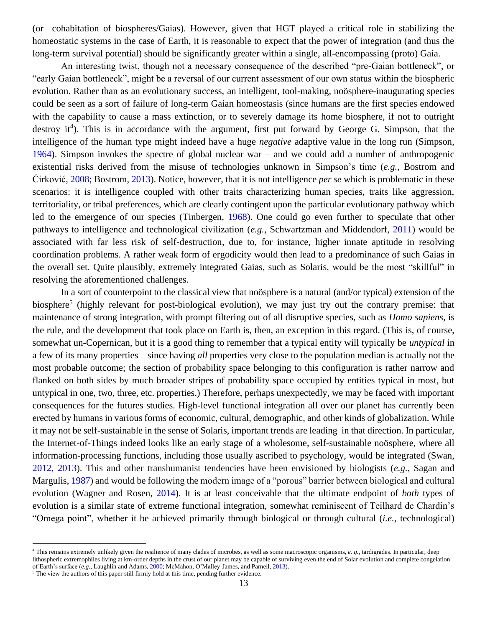(or cohabitation of biospheres/Gaias). However, given that HGT played a critical role in stabilizing the homeostatic systems in the case of Earth, it is reasonable to expect that the power of integration (and thus the long-term survival potential) should be significantly greater within a single, all-encompassing (proto) Gaia.

An interesting twist, though not a necessary consequence of the described "pre-Gaian bottleneck", or "early Gaian bottleneck", might be a reversal of our current assessment of our own status within the biospheric evolution. Rather than as an evolutionary success, an intelligent, tool-making, noösphere-inaugurating species could be seen as a sort of failure of long-term Gaian homeostasis (since humans are the first species endowed with the capability to cause a mass extinction, or to severely damage its home biosphere, if not to outright destroy it<sup>4</sup>). This is in accordance with the argument, first put forward by George G. Simpson, that the intelligence of the human type might indeed have a huge *negative* adaptive value in the long run (Simpson, 1964). Simpson invokes the spectre of global nuclear war – and we could add a number of anthropogenic existential risks derived from the misuse of technologies unknown in Simpson's time (*e.g.*, Bostrom and Ćirković, 2008; Bostrom, 2013). Notice, however, that it is not intelligence *per se* which is problematic in these scenarios: it is intelligence coupled with other traits characterizing human species, traits like aggression, territoriality, or tribal preferences, which are clearly contingent upon the particular evolutionary pathway which led to the emergence of our species (Tinbergen, 1968). One could go even further to speculate that other pathways to intelligence and technological civilization (*e.g.*, Schwartzman and Middendorf, 2011) would be associated with far less risk of self-destruction, due to, for instance, higher innate aptitude in resolving coordination problems. A rather weak form of ergodicity would then lead to a predominance of such Gaias in the overall set. Quite plausibly, extremely integrated Gaias, such as Solaris, would be the most "skillful" in resolving the aforementioned challenges.

In a sort of counterpoint to the classical view that noösphere is a natural (and/or typical) extension of the biosphere<sup>5</sup> (highly relevant for post-biological evolution), we may just try out the contrary premise: that maintenance of strong integration, with prompt filtering out of all disruptive species, such as *Homo sapiens*, is the rule, and the development that took place on Earth is, then, an exception in this regard. (This is, of course, somewhat un-Copernican, but it is a good thing to remember that a typical entity will typically be *untypical* in a few of its many properties – since having *all* properties very close to the population median is actually not the most probable outcome; the section of probability space belonging to this configuration is rather narrow and flanked on both sides by much broader stripes of probability space occupied by entities typical in most, but untypical in one, two, three, etc. properties.) Therefore, perhaps unexpectedly, we may be faced with important consequences for the futures studies. High-level functional integration all over our planet has currently been erected by humans in various forms of economic, cultural, demographic, and other kinds of globalization. While it may not be self-sustainable in the sense of Solaris, important trends are leading in that direction. In particular, the Internet-of-Things indeed looks like an early stage of a wholesome, self-sustainable noösphere, where all information-processing functions, including those usually ascribed to psychology, would be integrated (Swan, 2012, 2013). This and other transhumanist tendencies have been envisioned by biologists (*e.g.*, Sagan and Margulis, 1987) and would be following the modern image of a "porous" barrier between biological and cultural evolution (Wagner and Rosen, 2014). It is at least conceivable that the ultimate endpoint of *both* types of evolution is a similar state of extreme functional integration, somewhat reminiscent of Teilhard de Chardin's "Omega point", whether it be achieved primarily through biological or through cultural (*i.e.*, technological)

<sup>4</sup> This remains extremely unlikely given the resilience of many clades of microbes, as well as some macroscopic organisms, *e. g.*, tardigrades. In particular, deep lithospheric extremophiles living at km-order depths in the crust of our planet may be capable of surviving even the end of Solar evolution and complete congelation of Earth's surface (*e.g.*, Laughlin and Adams, 2000; McMahon, O'Malley-James, and Parnell, 2013).

 $5$  The view the authors of this paper still firmly hold at this time, pending further evidence.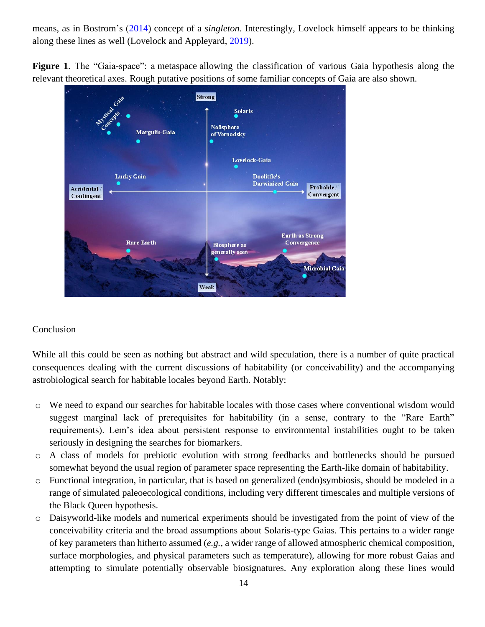means, as in Bostrom's (2014) concept of a *singleton*. Interestingly, Lovelock himself appears to be thinking along these lines as well (Lovelock and Appleyard, 2019).

**Figure 1**. The "Gaia-space": a metaspace allowing the classification of various Gaia hypothesis along the relevant theoretical axes. Rough putative positions of some familiar concepts of Gaia are also shown.



## Conclusion

While all this could be seen as nothing but abstract and wild speculation, there is a number of quite practical consequences dealing with the current discussions of habitability (or conceivability) and the accompanying astrobiological search for habitable locales beyond Earth. Notably:

- o We need to expand our searches for habitable locales with those cases where conventional wisdom would suggest marginal lack of prerequisites for habitability (in a sense, contrary to the "Rare Earth" requirements). Lem's idea about persistent response to environmental instabilities ought to be taken seriously in designing the searches for biomarkers.
- o A class of models for prebiotic evolution with strong feedbacks and bottlenecks should be pursued somewhat beyond the usual region of parameter space representing the Earth-like domain of habitability.
- o Functional integration, in particular, that is based on generalized (endo)symbiosis, should be modeled in a range of simulated paleoecological conditions, including very different timescales and multiple versions of the Black Queen hypothesis.
- o Daisyworld-like models and numerical experiments should be investigated from the point of view of the conceivability criteria and the broad assumptions about Solaris-type Gaias. This pertains to a wider range of key parameters than hitherto assumed (*e.g.*, a wider range of allowed atmospheric chemical composition, surface morphologies, and physical parameters such as temperature), allowing for more robust Gaias and attempting to simulate potentially observable biosignatures. Any exploration along these lines would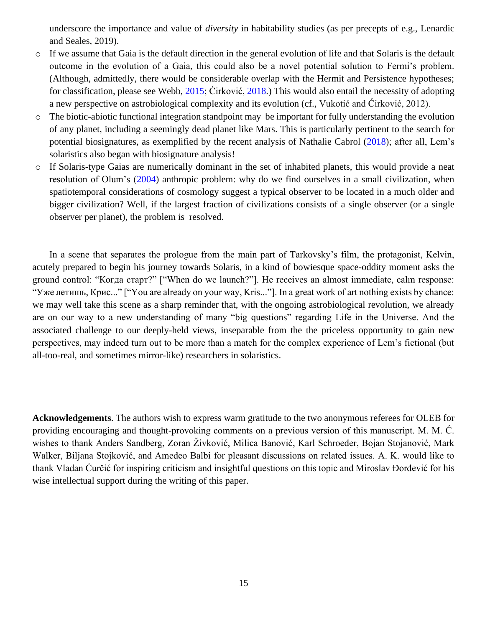underscore the importance and value of *diversity* in habitability studies (as per precepts of e.g., Lenardic and Seales, 2019).

- o If we assume that Gaia is the default direction in the general evolution of life and that Solaris is the default outcome in the evolution of a Gaia, this could also be a novel potential solution to Fermi's problem. (Although, admittedly, there would be considerable overlap with the Hermit and Persistence hypotheses; for classification, please see Webb, 2015; Ćirković, 2018.) This would also entail the necessity of adopting a new perspective on astrobiological complexity and its evolution (cf., Vukotić and Ćirković, 2012).
- o The biotic-abiotic functional integration standpoint may be important for fully understanding the evolution of any planet, including a seemingly dead planet like Mars. This is particularly pertinent to the search for potential biosignatures, as exemplified by the recent analysis of Nathalie Cabrol (2018); after all, Lem's solaristics also began with biosignature analysis!
- o If Solaris-type Gaias are numerically dominant in the set of inhabited planets, this would provide a neat resolution of Olum's (2004) anthropic problem: why do we find ourselves in a small civilization, when spatiotemporal considerations of cosmology suggest a typical observer to be located in a much older and bigger civilization? Well, if the largest fraction of civilizations consists of a single observer (or a single observer per planet), the problem is resolved.

In a scene that separates the prologue from the main part of Tarkovsky's film, the protagonist, Kelvin, acutely prepared to begin his journey towards Solaris, in a kind of bowiesque space-oddity moment asks the ground control: "Когда старт?" ["When do we launch?"]. He receives an almost immediate, calm response: "Уже летишь, Крис..." ["You are already on your way, Kris..."]. In a great work of art nothing exists by chance: we may well take this scene as a sharp reminder that, with the ongoing astrobiological revolution, we already are on our way to a new understanding of many "big questions" regarding Life in the Universe. And the associated challenge to our deeply-held views, inseparable from the the priceless opportunity to gain new perspectives, may indeed turn out to be more than a match for the complex experience of Lem's fictional (but all-too-real, and sometimes mirror-like) researchers in solaristics.

**Acknowledgements**. The authors wish to express warm gratitude to the two anonymous referees for OLEB for providing encouraging and thought-provoking comments on a previous version of this manuscript. M. M. Ć. wishes to thank Anders Sandberg, Zoran Živković, Milica Banović, Karl Schroeder, Bojan Stojanović, Mark Walker, Biljana Stojković, and Amedeo Balbi for pleasant discussions on related issues. A. K. would like to thank Vladan Ćurčić for inspiring criticism and insightful questions on this topic and Miroslav Đorđević for his wise intellectual support during the writing of this paper.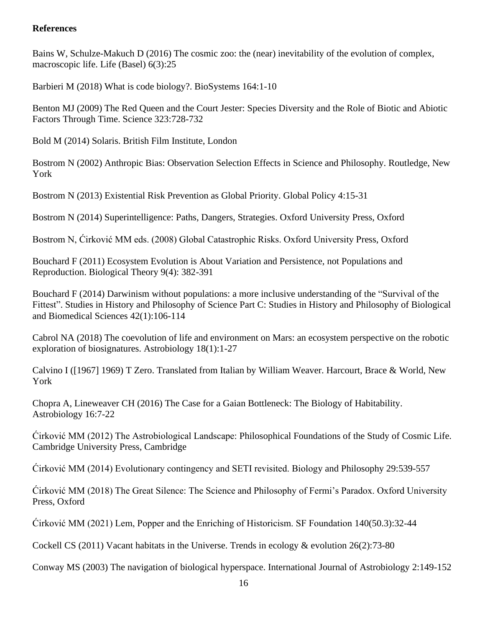### **References**

Bains W, Schulze-Makuch D (2016) The cosmic zoo: the (near) inevitability of the evolution of complex, macroscopic life. Life (Basel) 6(3):25

Barbieri M (2018) What is code biology?. BioSystems 164:1-10

Benton MJ (2009) The Red Queen and the Court Jester: Species Diversity and the Role of Biotic and Abiotic Factors Through Time. Science 323:728-732

Bold M (2014) Solaris. British Film Institute, London

Bostrom N (2002) Anthropic Bias: Observation Selection Effects in Science and Philosophy. Routledge, New York

Bostrom N (2013) Existential Risk Prevention as Global Priority. Global Policy 4:15-31

Bostrom N (2014) Superintelligence: Paths, Dangers, Strategies. Oxford University Press, Oxford

Bostrom N, Ćirković MM eds. (2008) Global Catastrophic Risks. Oxford University Press, Oxford

Bouchard F (2011) Ecosystem Evolution is About Variation and Persistence, not Populations and Reproduction. Biological Theory 9(4): 382-391

Bouchard F (2014) Darwinism without populations: a more inclusive understanding of the "Survival of the Fittest". Studies in History and Philosophy of Science Part C: Studies in History and Philosophy of Biological and Biomedical Sciences 42(1):106-114

Cabrol NA (2018) The coevolution of life and environment on Mars: an ecosystem perspective on the robotic exploration of biosignatures. Astrobiology 18(1):1-27

Calvino I ([1967] 1969) T Zero. Translated from Italian by William Weaver. Harcourt, Brace & World, New York

Chopra A, Lineweaver CH (2016) The Case for a Gaian Bottleneck: The Biology of Habitability. Astrobiology 16:7-22

Ćirković MM (2012) The Astrobiological Landscape: Philosophical Foundations of the Study of Cosmic Life. Cambridge University Press, Cambridge

Ćirković MM (2014) Evolutionary contingency and SETI revisited. Biology and Philosophy 29:539-557

Ćirković MM (2018) The Great Silence: The Science and Philosophy of Fermi's Paradox. Oxford University Press, Oxford

Ćirković MM (2021) Lem, Popper and the Enriching of Historicism. SF Foundation 140(50.3):32-44

Cockell CS (2011) Vacant habitats in the Universe. Trends in ecology & evolution 26(2):73-80

Conway MS (2003) The navigation of biological hyperspace. International Journal of Astrobiology 2:149-152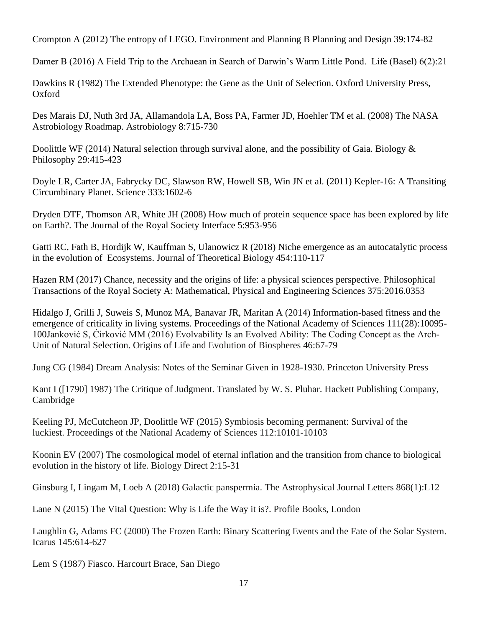Crompton A (2012) The entropy of LEGO. Environment and Planning B Planning and Design 39:174-82

Damer B (2016) A Field Trip to the Archaean in Search of Darwin's Warm Little Pond. Life (Basel) 6(2):21

Dawkins R (1982) The Extended Phenotype: the Gene as the Unit of Selection. Oxford University Press, Oxford

Des Marais DJ, Nuth 3rd JA, Allamandola LA, Boss PA, Farmer JD, Hoehler TM et al. (2008) The NASA Astrobiology Roadmap. Astrobiology 8:715-730

Doolittle WF (2014) Natural selection through survival alone, and the possibility of Gaia. Biology  $\&$ Philosophy 29:415-423

Doyle LR, Carter JA, Fabrycky DC, Slawson RW, Howell SB, Win JN et al. (2011) Kepler-16: A Transiting Circumbinary Planet. Science 333:1602-6

Dryden DTF, Thomson AR, White JH (2008) How much of protein sequence space has been explored by life on Earth?. The Journal of the Royal Society Interface 5:953-956

Gatti RC, Fath B, Hordijk W, Kauffman S, Ulanowicz R (2018) Niche emergence as an autocatalytic process in the evolution of Ecosystems. Journal of Theoretical Biology 454:110-117

Hazen RM (2017) Chance, necessity and the origins of life: a physical sciences perspective. Philosophical Transactions of the Royal Society A: Mathematical, Physical and Engineering Sciences 375:2016.0353

Hidalgo J, Grilli J, Suweis S, Munoz MA, Banavar JR, Maritan A (2014) Information-based fitness and the emergence of criticality in living systems. Proceedings of the National Academy of Sciences 111(28):10095- 100Janković S, Ćirković MM (2016) Evolvability Is an Evolved Ability: The Coding Concept as the Arch-Unit of Natural Selection. Origins of Life and Evolution of Biospheres 46:67-79

Jung CG (1984) Dream Analysis: Notes of the Seminar Given in 1928-1930. Princeton University Press

Kant I ([1790] 1987) The Critique of Judgment. Translated by W. S. Pluhar. Hackett Publishing Company, Cambridge

Keeling PJ, McCutcheon JP, Doolittle WF (2015) Symbiosis becoming permanent: Survival of the luckiest. Proceedings of the National Academy of Sciences 112:10101-10103

Koonin EV (2007) The cosmological model of eternal inflation and the transition from chance to biological evolution in the history of life. Biology Direct 2:15-31

Ginsburg I, Lingam M, Loeb A (2018) Galactic panspermia. The Astrophysical Journal Letters 868(1):L12

Lane N (2015) The Vital Question: Why is Life the Way it is?. Profile Books, London

Laughlin G, Adams FC (2000) The Frozen Earth: Binary Scattering Events and the Fate of the Solar System. Icarus 145:614-627

Lem S (1987) Fiasco. Harcourt Brace, San Diego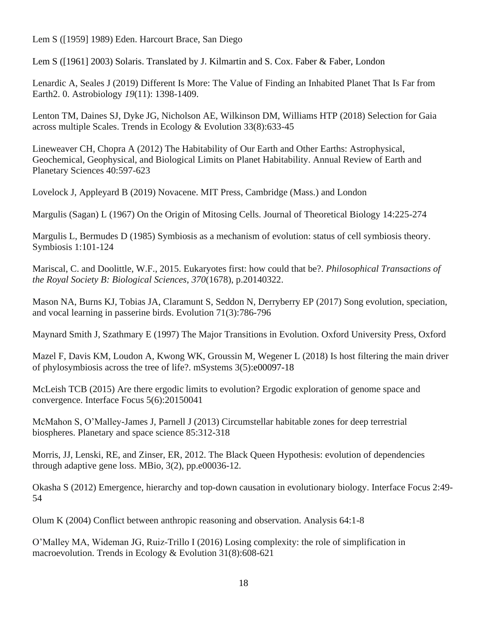Lem S ([1959] 1989) Eden. Harcourt Brace, San Diego

Lem S ([1961] 2003) Solaris. Translated by J. Kilmartin and S. Cox. Faber & Faber, London

Lenardic A, Seales J (2019) Different Is More: The Value of Finding an Inhabited Planet That Is Far from Earth2. 0. Astrobiology *19*(11): 1398-1409.

Lenton TM, Daines SJ, Dyke JG, Nicholson AE, Wilkinson DM, Williams HTP (2018) Selection for Gaia across multiple Scales. Trends in Ecology & Evolution 33(8):633-45

Lineweaver CH, Chopra A (2012) The Habitability of Our Earth and Other Earths: Astrophysical, Geochemical, Geophysical, and Biological Limits on Planet Habitability. Annual Review of Earth and Planetary Sciences 40:597-623

Lovelock J, Appleyard B (2019) Novacene. MIT Press, Cambridge (Mass.) and London

Margulis (Sagan) L (1967) On the Origin of Mitosing Cells. Journal of Theoretical Biology 14:225-274

Margulis L, Bermudes D (1985) Symbiosis as a mechanism of evolution: status of cell symbiosis theory. Symbiosis 1:101-124

Mariscal, C. and Doolittle, W.F., 2015. Eukaryotes first: how could that be?. *Philosophical Transactions of the Royal Society B: Biological Sciences*, *370*(1678), p.20140322.

Mason NA, Burns KJ, Tobias JA, Claramunt S, Seddon N, Derryberry EP (2017) Song evolution, speciation, and vocal learning in passerine birds. Evolution 71(3):786-796

Maynard Smith J, Szathmary E (1997) The Major Transitions in Evolution. Oxford University Press, Oxford

Mazel F, Davis KM, Loudon A, Kwong WK, Groussin M, Wegener L (2018) Is host filtering the main driver of phylosymbiosis across the tree of life?. mSystems 3(5):e00097-18

McLeish TCB (2015) Are there ergodic limits to evolution? Ergodic exploration of genome space and convergence. Interface Focus 5(6):20150041

McMahon S, O'Malley-James J, Parnell J (2013) Circumstellar habitable zones for deep terrestrial biospheres. Planetary and space science 85:312-318

Morris, JJ, Lenski, RE, and Zinser, ER, 2012. The Black Queen Hypothesis: evolution of dependencies through adaptive gene loss. MBio, 3(2), pp.e00036-12.

Okasha S (2012) Emergence, hierarchy and top-down causation in evolutionary biology. Interface Focus 2:49- 54

Olum K (2004) Conflict between anthropic reasoning and observation. Analysis 64:1-8

O'Malley MA, Wideman JG, Ruiz-Trillo I (2016) Losing complexity: the role of simplification in macroevolution. Trends in Ecology & Evolution 31(8):608-621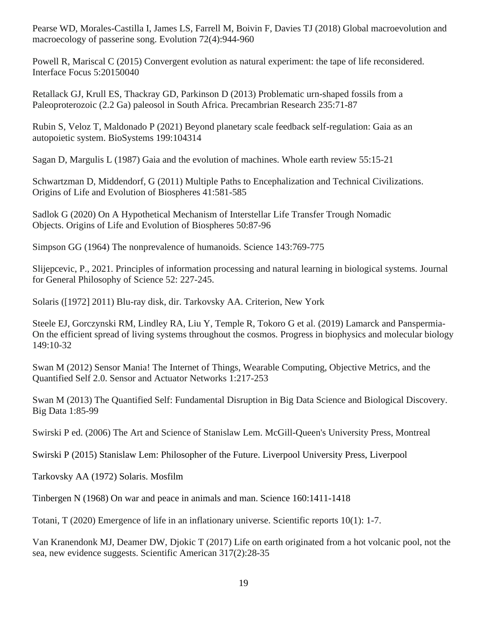Pearse WD, Morales-Castilla I, James LS, Farrell M, Boivin F, Davies TJ (2018) Global macroevolution and macroecology of passerine song. Evolution 72(4):944-960

Powell R, Mariscal C (2015) Convergent evolution as natural experiment: the tape of life reconsidered. Interface Focus 5:20150040

Retallack GJ, Krull ES, Thackray GD, Parkinson D (2013) Problematic urn-shaped fossils from a Paleoproterozoic (2.2 Ga) paleosol in South Africa. Precambrian Research 235:71-87

Rubin S, Veloz T, Maldonado P (2021) Beyond planetary scale feedback self-regulation: Gaia as an autopoietic system. BioSystems 199:104314

Sagan D, Margulis L (1987) Gaia and the evolution of machines. Whole earth review 55:15-21

Schwartzman D, Middendorf, G (2011) Multiple Paths to Encephalization and Technical Civilizations. Origins of Life and Evolution of Biospheres 41:581-585

Sadlok G (2020) On A Hypothetical Mechanism of Interstellar Life Transfer Trough Nomadic Objects. Origins of Life and Evolution of Biospheres 50:87-96

Simpson GG (1964) The nonprevalence of humanoids. Science 143:769-775

Slijepcevic, P., 2021. Principles of information processing and natural learning in biological systems. Journal for General Philosophy of Science 52: 227-245.

Solaris ([1972] 2011) Blu-ray disk, dir. Tarkovsky AA. Criterion, New York

Steele EJ, Gorczynski RM, Lindley RA, Liu Y, Temple R, Tokoro G et al. (2019) Lamarck and Panspermia-On the efficient spread of living systems throughout the cosmos. Progress in biophysics and molecular biology 149:10-32

Swan M (2012) Sensor Mania! The Internet of Things, Wearable Computing, Objective Metrics, and the Quantified Self 2.0. Sensor and Actuator Networks 1:217-253

Swan M (2013) The Quantified Self: Fundamental Disruption in Big Data Science and Biological Discovery. Big Data 1:85-99

Swirski P ed. (2006) The Art and Science of Stanislaw Lem. McGill-Queen's University Press, Montreal

Swirski P (2015) Stanislaw Lem: Philosopher of the Future. Liverpool University Press, Liverpool

Tarkovsky AA (1972) Solaris. Mosfilm

Tinbergen N (1968) On war and peace in animals and man. Science 160:1411-1418

Totani, T (2020) Emergence of life in an inflationary universe. Scientific reports 10(1): 1-7.

Van Kranendonk MJ, Deamer DW, Djokic T (2017) Life on earth originated from a hot volcanic pool, not the sea, new evidence suggests. Scientific American 317(2):28-35